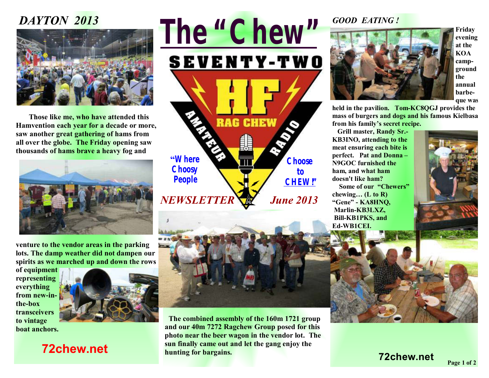## *DAYTON 2013*



**Those like me, who have attended this Hamvention each year for a decade or more, saw another great gathering of hams from all over the globe. The Friday opening saw thousands of hams brave a heavy fog and** 



**venture to the vendor areas in the parking lots. The damp weather did not dampen our spirits as we marched up and down the rows** 

**of equipment representing everything from new-inthe-box transceivers to vintage boat anchors.** 



 **72chew.net**







**Friday evening at the KOA campground the annual barbeque was** 

**held in the pavilion. Tom-KC8QGJ provides the mass of burgers and dogs and his famous Kielbasa from his family's secret recipe.** 

**Grill master, Randy Sr.- KB3INO, attending to the meat ensuring each bite is perfect. Pat and Donna – N9GOC furnished the ham, and what ham doesn't like ham?** 

**Some of our "Chewers" chewing… (L to R) "Gene" - KA8HNQ, Marlin-KB3LXZ, Bill-KB1PKS, and Ed-WB1CEI.** 





 **The combined assembly of the 160m 1721 group and our 40m 7272 Ragchew Group posed for this photo near the beer wagon in the vendor lot. The sun finally came out and let the gang enjoy the hunting for bargains.** 

**72chew.net**